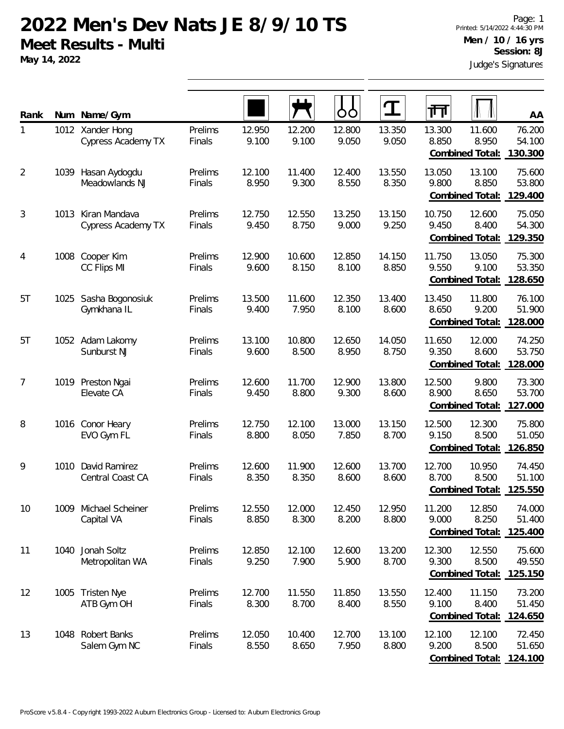**May 14, 2022**

| Rank           |      | Num Name/Gym                               |                   |                 |                 | OO              | $\mathbf T$     | 帀                                         |                 | AA                          |
|----------------|------|--------------------------------------------|-------------------|-----------------|-----------------|-----------------|-----------------|-------------------------------------------|-----------------|-----------------------------|
| 1              | 1012 | Xander Hong<br><b>Cypress Academy TX</b>   | Prelims<br>Finals | 12.950<br>9.100 | 12.200<br>9.100 | 12.800<br>9.050 | 13.350<br>9.050 | 13.300<br>8.850<br>Combined Total:        | 11.600<br>8.950 | 76.200<br>54.100<br>130.300 |
| $\overline{2}$ | 1039 | Hasan Aydogdu<br>Meadowlands NJ            | Prelims<br>Finals | 12.100<br>8.950 | 11.400<br>9.300 | 12.400<br>8.550 | 13.550<br>8.350 | 13.050<br>9.800<br><b>Combined Total:</b> | 13.100<br>8.850 | 75.600<br>53.800<br>129.400 |
| 3              | 1013 | Kiran Mandava<br><b>Cypress Academy TX</b> | Prelims<br>Finals | 12.750<br>9.450 | 12.550<br>8.750 | 13.250<br>9.000 | 13.150<br>9.250 | 10.750<br>9.450<br>Combined Total:        | 12.600<br>8.400 | 75.050<br>54.300<br>129.350 |
| 4              | 1008 | Cooper Kim<br>CC Flips MI                  | Prelims<br>Finals | 12.900<br>9.600 | 10.600<br>8.150 | 12.850<br>8.100 | 14.150<br>8.850 | 11.750<br>9.550<br>Combined Total:        | 13.050<br>9.100 | 75.300<br>53.350<br>128.650 |
| 5T             | 1025 | Sasha Bogonosiuk<br>Gymkhana IL            | Prelims<br>Finals | 13.500<br>9.400 | 11.600<br>7.950 | 12.350<br>8.100 | 13.400<br>8.600 | 13.450<br>8.650<br>Combined Total:        | 11.800<br>9.200 | 76.100<br>51.900<br>128.000 |
| 5T             |      | 1052 Adam Lakomy<br>Sunburst NJ            | Prelims<br>Finals | 13.100<br>9.600 | 10.800<br>8.500 | 12.650<br>8.950 | 14.050<br>8.750 | 11.650<br>9.350<br>Combined Total:        | 12.000<br>8.600 | 74.250<br>53.750<br>128.000 |
| 7              | 1019 | Preston Ngai<br>Elevate CA                 | Prelims<br>Finals | 12.600<br>9.450 | 11.700<br>8.800 | 12.900<br>9.300 | 13.800<br>8.600 | 12.500<br>8.900<br><b>Combined Total:</b> | 9.800<br>8.650  | 73.300<br>53.700<br>127.000 |
| 8              |      | 1016 Conor Heary<br>EVO Gym FL             | Prelims<br>Finals | 12.750<br>8.800 | 12.100<br>8.050 | 13.000<br>7.850 | 13.150<br>8.700 | 12.500<br>9.150<br>Combined Total:        | 12.300<br>8.500 | 75.800<br>51.050<br>126.850 |
| 9              | 1010 | David Ramirez<br>Central Coast CA          | Prelims<br>Finals | 12.600<br>8.350 | 11.900<br>8.350 | 12.600<br>8.600 | 13.700<br>8.600 | 12.700<br>8.700<br>Combined Total:        | 10.950<br>8.500 | 74.450<br>51.100<br>125.550 |
| 10             |      | 1009 Michael Scheiner<br>Capital VA        | Prelims<br>Finals | 12.550<br>8.850 | 12.000<br>8.300 | 12.450<br>8.200 | 12.950<br>8.800 | 11.200<br>9.000<br>Combined Total:        | 12.850<br>8.250 | 74.000<br>51.400<br>125.400 |
| 11             | 1040 | Jonah Soltz<br>Metropolitan WA             | Prelims<br>Finals | 12.850<br>9.250 | 12.100<br>7.900 | 12.600<br>5.900 | 13.200<br>8.700 | 12.300<br>9.300<br><b>Combined Total:</b> | 12.550<br>8.500 | 75.600<br>49.550<br>125.150 |
| 12             | 1005 | <b>Tristen Nye</b><br>ATB Gym OH           | Prelims<br>Finals | 12.700<br>8.300 | 11.550<br>8.700 | 11.850<br>8.400 | 13.550<br>8.550 | 12.400<br>9.100<br><b>Combined Total:</b> | 11.150<br>8.400 | 73.200<br>51.450<br>124.650 |
| 13             |      | 1048 Robert Banks<br>Salem Gym NC          | Prelims<br>Finals | 12.050<br>8.550 | 10.400<br>8.650 | 12.700<br>7.950 | 13.100<br>8.800 | 12.100<br>9.200<br>Combined Total:        | 12.100<br>8.500 | 72.450<br>51.650<br>124.100 |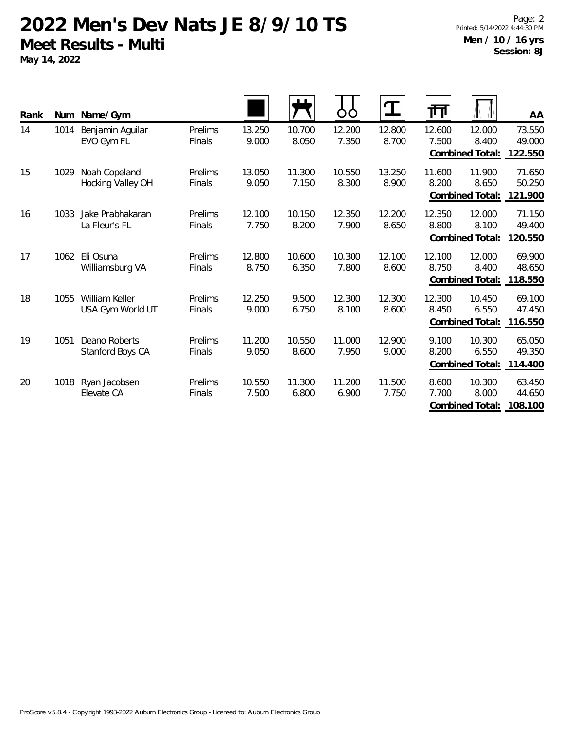| Rank | <b>Num</b> | Name/Gym                           |                          |                 |                 | OC              | $\mathbf T$     | 帀               |                                           | AA                          |
|------|------------|------------------------------------|--------------------------|-----------------|-----------------|-----------------|-----------------|-----------------|-------------------------------------------|-----------------------------|
| 14   | 1014       | Benjamin Aguilar<br>EVO Gym FL     | Prelims<br>Finals        | 13.250<br>9.000 | 10.700<br>8.050 | 12.200<br>7.350 | 12.800<br>8.700 | 12.600<br>7.500 | 12.000<br>8.400<br>Combined Total:        | 73.550<br>49.000<br>122.550 |
| 15   | 1029       | Noah Copeland<br>Hocking Valley OH | Prelims<br>Finals        | 13.050<br>9.050 | 11.300<br>7.150 | 10.550<br>8.300 | 13.250<br>8.900 | 11.600<br>8.200 | 11.900<br>8.650<br><b>Combined Total:</b> | 71.650<br>50.250<br>121.900 |
| 16   | 1033       | Jake Prabhakaran<br>La Fleur's FL  | Prelims<br>Finals        | 12.100<br>7.750 | 10.150<br>8.200 | 12.350<br>7.900 | 12.200<br>8.650 | 12.350<br>8.800 | 12.000<br>8.100<br>Combined Total:        | 71.150<br>49.400<br>120.550 |
| 17   | 1062       | Eli Osuna<br>Williamsburg VA       | Prelims<br>Finals        | 12.800<br>8.750 | 10.600<br>6.350 | 10.300<br>7.800 | 12.100<br>8.600 | 12.100<br>8.750 | 12.000<br>8.400<br>Combined Total:        | 69.900<br>48.650<br>118.550 |
| 18   | 1055       | William Keller<br>USA Gym World UT | Prelims<br>Finals        | 12.250<br>9.000 | 9.500<br>6.750  | 12.300<br>8.100 | 12.300<br>8.600 | 12.300<br>8.450 | 10.450<br>6.550<br>Combined Total:        | 69.100<br>47.450<br>116.550 |
| 19   | 1051       | Deano Roberts<br>Stanford Boys CA  | Prelims<br><b>Finals</b> | 11.200<br>9.050 | 10.550<br>8.600 | 11.000<br>7.950 | 12.900<br>9.000 | 9.100<br>8.200  | 10.300<br>6.550<br><b>Combined Total:</b> | 65.050<br>49.350<br>114.400 |
| 20   | 1018       | Ryan Jacobsen<br>Elevate CA        | Prelims<br>Finals        | 10.550<br>7.500 | 11.300<br>6.800 | 11.200<br>6.900 | 11.500<br>7.750 | 8.600<br>7.700  | 10.300<br>8.000<br>Combined Total:        | 63.450<br>44.650<br>108.100 |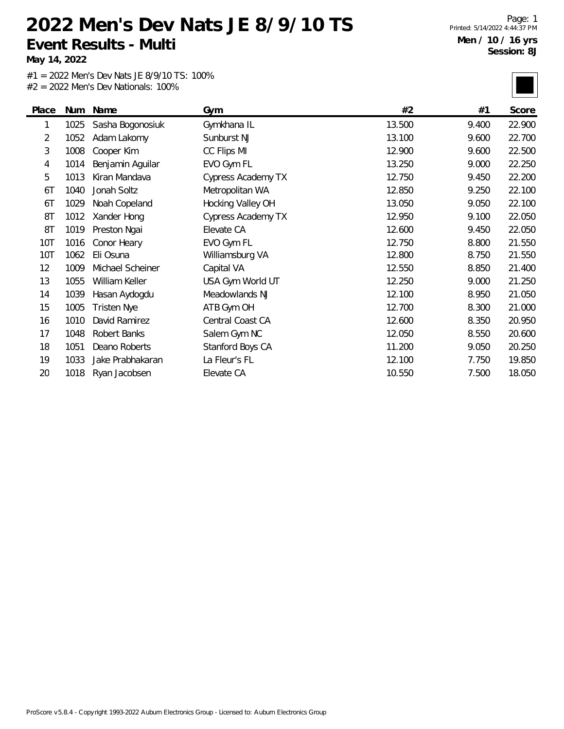**May 14, 2022**

÷

| Place          | Num  | Name               | Gym                       | #2     | #1    | Score  |
|----------------|------|--------------------|---------------------------|--------|-------|--------|
| 1              | 1025 | Sasha Bogonosiuk   | Gymkhana IL               | 13.500 | 9.400 | 22.900 |
| $\overline{2}$ | 1052 | Adam Lakomy        | Sunburst NJ               | 13.100 | 9.600 | 22.700 |
| 3              | 1008 | Cooper Kim         | CC Flips MI               | 12.900 | 9.600 | 22.500 |
| 4              | 1014 | Benjamin Aguilar   | EVO Gym FL                | 13.250 | 9.000 | 22.250 |
| 5              | 1013 | Kiran Mandava      | <b>Cypress Academy TX</b> | 12.750 | 9.450 | 22.200 |
| 6T             | 1040 | Jonah Soltz        | Metropolitan WA           | 12.850 | 9.250 | 22.100 |
| 6T             | 1029 | Noah Copeland      | Hocking Valley OH         | 13.050 | 9.050 | 22.100 |
| 8T             | 1012 | Xander Hong        | <b>Cypress Academy TX</b> | 12.950 | 9.100 | 22.050 |
| 8T             | 1019 | Preston Ngai       | Elevate CA                | 12.600 | 9.450 | 22.050 |
| <b>10T</b>     | 1016 | Conor Heary        | EVO Gym FL                | 12.750 | 8.800 | 21.550 |
| 10T            | 1062 | Eli Osuna          | Williamsburg VA           | 12.800 | 8.750 | 21.550 |
| 12             | 1009 | Michael Scheiner   | Capital VA                | 12.550 | 8.850 | 21.400 |
| 13             | 1055 | William Keller     | USA Gym World UT          | 12.250 | 9.000 | 21.250 |
| 14             | 1039 | Hasan Aydogdu      | Meadowlands NJ            | 12.100 | 8.950 | 21.050 |
| 15             | 1005 | <b>Tristen Nye</b> | ATB Gym OH                | 12.700 | 8.300 | 21.000 |
| 16             | 1010 | David Ramirez      | Central Coast CA          | 12.600 | 8.350 | 20.950 |
| 17             | 1048 | Robert Banks       | Salem Gym NC              | 12.050 | 8.550 | 20.600 |
| 18             | 1051 | Deano Roberts      | Stanford Boys CA          | 11.200 | 9.050 | 20.250 |
| 19             | 1033 | Jake Prabhakaran   | La Fleur's FL             | 12.100 | 7.750 | 19.850 |
| 20             | 1018 | Ryan Jacobsen      | Elevate CA                | 10.550 | 7.500 | 18.050 |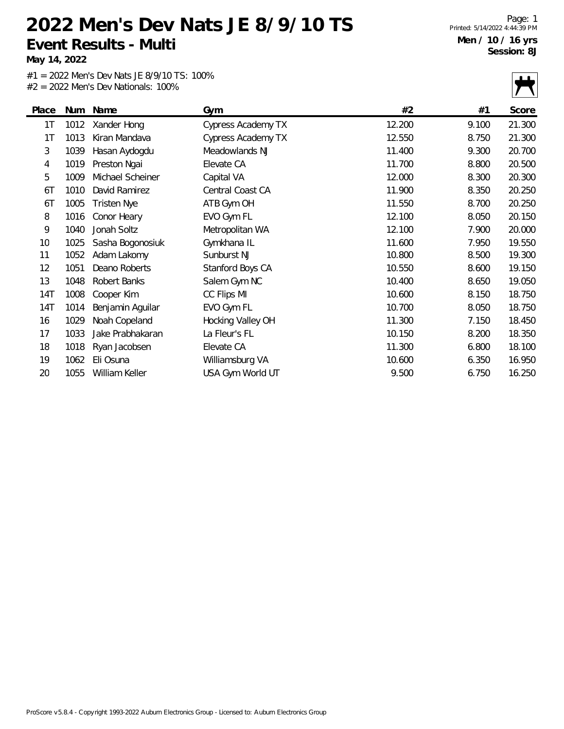**May 14, 2022**

÷

|       |      |                    |                           |        |       | . .<br>$\overline{\phantom{a}}$ |
|-------|------|--------------------|---------------------------|--------|-------|---------------------------------|
| Place | Num  | Name               | Gym                       | #2     | #1    | Score                           |
| 1T    | 1012 | Xander Hong        | <b>Cypress Academy TX</b> | 12.200 | 9.100 | 21.300                          |
| 1Т    | 1013 | Kiran Mandava      | <b>Cypress Academy TX</b> | 12.550 | 8.750 | 21.300                          |
| 3     | 1039 | Hasan Aydogdu      | Meadowlands NJ            | 11.400 | 9.300 | 20.700                          |
| 4     | 1019 | Preston Ngai       | Elevate CA                | 11.700 | 8.800 | 20.500                          |
| 5     | 1009 | Michael Scheiner   | Capital VA                | 12.000 | 8.300 | 20.300                          |
| 6T    | 1010 | David Ramirez      | Central Coast CA          | 11.900 | 8.350 | 20.250                          |
| 6T    | 1005 | <b>Tristen Nye</b> | ATB Gym OH                | 11.550 | 8.700 | 20.250                          |
| 8     | 1016 | Conor Heary        | EVO Gym FL                | 12.100 | 8.050 | 20.150                          |
| 9     | 1040 | Jonah Soltz        | Metropolitan WA           | 12.100 | 7.900 | 20.000                          |
| 10    | 1025 | Sasha Bogonosiuk   | Gymkhana IL               | 11.600 | 7.950 | 19.550                          |
| 11    | 1052 | Adam Lakomy        | Sunburst NJ               | 10.800 | 8.500 | 19.300                          |
| 12    | 1051 | Deano Roberts      | Stanford Boys CA          | 10.550 | 8.600 | 19.150                          |
| 13    | 1048 | Robert Banks       | Salem Gym NC              | 10.400 | 8.650 | 19.050                          |
| 14T   | 1008 | Cooper Kim         | CC Flips MI               | 10.600 | 8.150 | 18.750                          |
| 14T   | 1014 | Benjamin Aguilar   | EVO Gym FL                | 10.700 | 8.050 | 18.750                          |
| 16    | 1029 | Noah Copeland      | Hocking Valley OH         | 11.300 | 7.150 | 18.450                          |
| 17    | 1033 | Jake Prabhakaran   | La Fleur's FL             | 10.150 | 8.200 | 18.350                          |
| 18    | 1018 | Ryan Jacobsen      | Elevate CA                | 11.300 | 6.800 | 18.100                          |
| 19    | 1062 | Eli Osuna          | Williamsburg VA           | 10.600 | 6.350 | 16.950                          |
| 20    | 1055 | William Keller     | USA Gym World UT          | 9.500  | 6.750 | 16.250                          |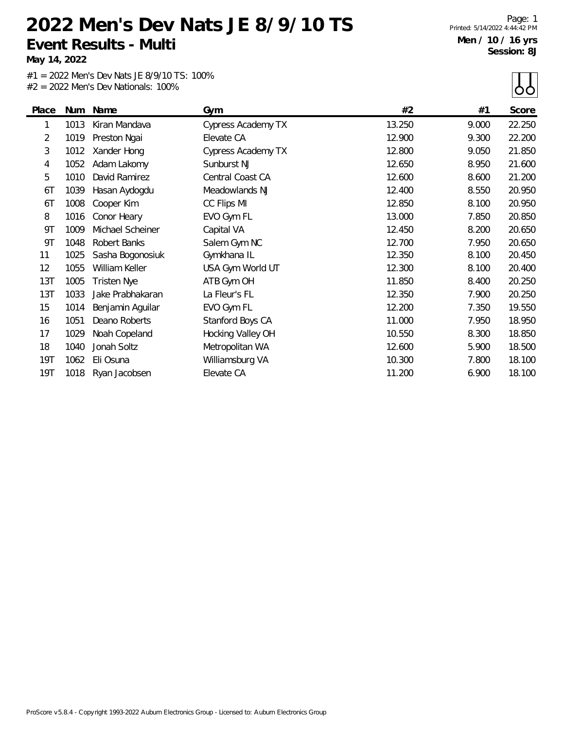**May 14, 2022**

| Place | Num  | Name               | Gym                       | #2     | #1    | Score  |
|-------|------|--------------------|---------------------------|--------|-------|--------|
| 1     | 1013 | Kiran Mandava      | <b>Cypress Academy TX</b> | 13.250 | 9.000 | 22.250 |
| 2     | 1019 | Preston Ngai       | Elevate CA                | 12.900 | 9.300 | 22.200 |
| 3     | 1012 | Xander Hong        | <b>Cypress Academy TX</b> | 12.800 | 9.050 | 21.850 |
| 4     | 1052 | Adam Lakomy        | Sunburst NJ               | 12.650 | 8.950 | 21.600 |
| 5     | 1010 | David Ramirez      | Central Coast CA          | 12.600 | 8.600 | 21.200 |
| 6T    | 1039 | Hasan Aydogdu      | Meadowlands NJ            | 12.400 | 8.550 | 20.950 |
| 6T    | 1008 | Cooper Kim         | CC Flips MI               | 12.850 | 8.100 | 20.950 |
| 8     | 1016 | Conor Heary        | EVO Gym FL                | 13.000 | 7.850 | 20.850 |
| 9T    | 1009 | Michael Scheiner   | Capital VA                | 12.450 | 8.200 | 20.650 |
| 9T    | 1048 | Robert Banks       | Salem Gym NC              | 12.700 | 7.950 | 20.650 |
| 11    | 1025 | Sasha Bogonosiuk   | Gymkhana IL               | 12.350 | 8.100 | 20.450 |
| 12    | 1055 | William Keller     | USA Gym World UT          | 12.300 | 8.100 | 20.400 |
| 13T   | 1005 | <b>Tristen Nye</b> | ATB Gym OH                | 11.850 | 8.400 | 20.250 |
| 13T   | 1033 | Jake Prabhakaran   | La Fleur's FL             | 12.350 | 7.900 | 20.250 |
| 15    | 1014 | Benjamin Aguilar   | EVO Gym FL                | 12.200 | 7.350 | 19.550 |
| 16    | 1051 | Deano Roberts      | Stanford Boys CA          | 11.000 | 7.950 | 18.950 |
| 17    | 1029 | Noah Copeland      | Hocking Valley OH         | 10.550 | 8.300 | 18.850 |
| 18    | 1040 | Jonah Soltz        | Metropolitan WA           | 12.600 | 5.900 | 18.500 |
| 19T   | 1062 | Eli Osuna          | Williamsburg VA           | 10.300 | 7.800 | 18.100 |
| 19T   | 1018 | Ryan Jacobsen      | Elevate CA                | 11.200 | 6.900 | 18.100 |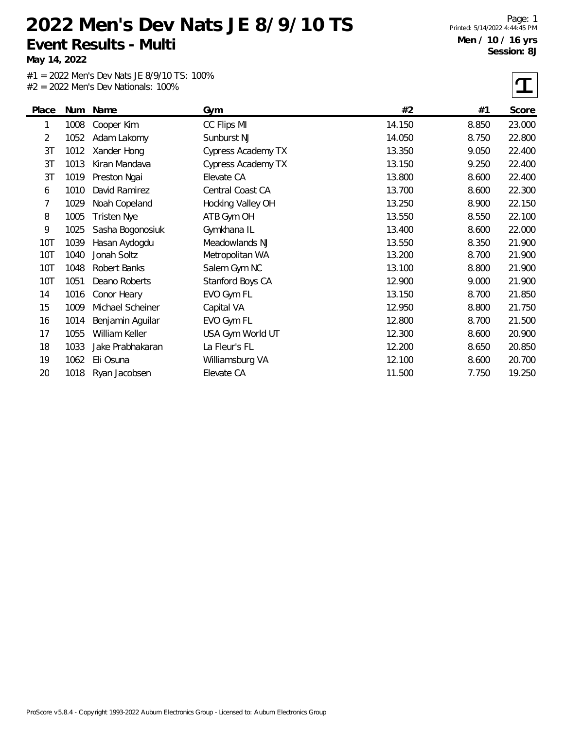**May 14, 2022**

L.

| Place | Num  | Name               | Gym                       | #2     | #1    | Score  |
|-------|------|--------------------|---------------------------|--------|-------|--------|
| 1     | 1008 | Cooper Kim         | CC Flips MI               | 14.150 | 8.850 | 23.000 |
| 2     | 1052 | Adam Lakomy        | Sunburst NJ               | 14.050 | 8.750 | 22.800 |
| 3T    | 1012 | Xander Hong        | <b>Cypress Academy TX</b> | 13.350 | 9.050 | 22.400 |
| 3T    | 1013 | Kiran Mandava      | <b>Cypress Academy TX</b> | 13.150 | 9.250 | 22.400 |
| 3T    | 1019 | Preston Ngai       | Elevate CA                | 13.800 | 8.600 | 22.400 |
| 6     | 1010 | David Ramirez      | Central Coast CA          | 13.700 | 8.600 | 22.300 |
| 7     | 1029 | Noah Copeland      | Hocking Valley OH         | 13.250 | 8.900 | 22.150 |
| 8     | 1005 | <b>Tristen Nye</b> | ATB Gym OH                | 13.550 | 8.550 | 22.100 |
| 9     | 1025 | Sasha Bogonosiuk   | Gymkhana IL               | 13.400 | 8.600 | 22.000 |
| 10T   | 1039 | Hasan Aydogdu      | Meadowlands NJ            | 13.550 | 8.350 | 21.900 |
| 10T   | 1040 | Jonah Soltz        | Metropolitan WA           | 13.200 | 8.700 | 21.900 |
| 10T   | 1048 | Robert Banks       | Salem Gym NC              | 13.100 | 8.800 | 21.900 |
| 10T   | 1051 | Deano Roberts      | Stanford Boys CA          | 12.900 | 9.000 | 21.900 |
| 14    | 1016 | Conor Heary        | EVO Gym FL                | 13.150 | 8.700 | 21.850 |
| 15    | 1009 | Michael Scheiner   | Capital VA                | 12.950 | 8.800 | 21.750 |
| 16    | 1014 | Benjamin Aguilar   | EVO Gym FL                | 12.800 | 8.700 | 21.500 |
| 17    | 1055 | William Keller     | USA Gym World UT          | 12.300 | 8.600 | 20.900 |
| 18    | 1033 | Jake Prabhakaran   | La Fleur's FL             | 12.200 | 8.650 | 20.850 |
| 19    | 1062 | Eli Osuna          | Williamsburg VA           | 12.100 | 8.600 | 20.700 |
| 20    | 1018 | Ryan Jacobsen      | Elevate CA                | 11.500 | 7.750 | 19.250 |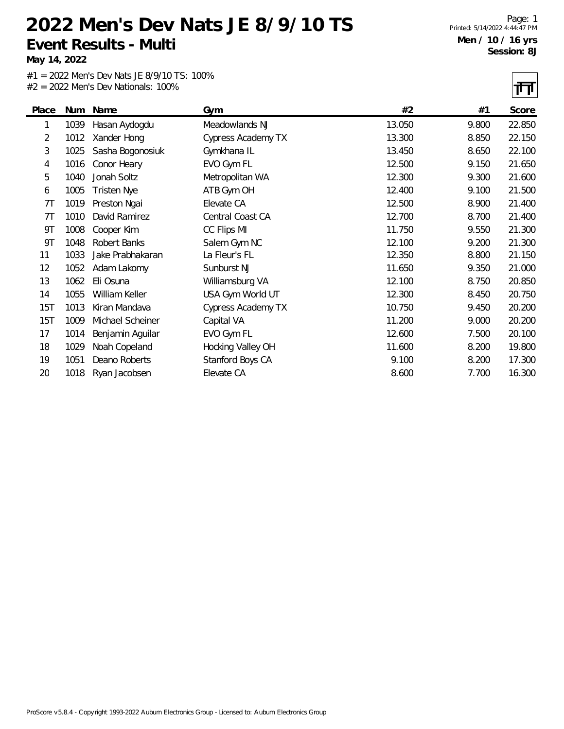**May 14, 2022**

#1 = 2022 Men's Dev Nats JE 8/9/10 TS: 100% #2 = 2022 Men's Dev Nationals: 100%

त्ता

|            |      |                    |                           |        |       | . .    |
|------------|------|--------------------|---------------------------|--------|-------|--------|
| Place      | Num  | Name               | Gym                       | #2     | #1    | Score  |
| 1          | 1039 | Hasan Aydogdu      | Meadowlands NJ            | 13.050 | 9.800 | 22.850 |
| 2          | 1012 | Xander Hong        | <b>Cypress Academy TX</b> | 13.300 | 8.850 | 22.150 |
| 3          | 1025 | Sasha Bogonosiuk   | Gymkhana IL               | 13.450 | 8.650 | 22.100 |
| 4          | 1016 | Conor Heary        | EVO Gym FL                | 12.500 | 9.150 | 21.650 |
| 5          | 1040 | Jonah Soltz        | Metropolitan WA           | 12.300 | 9.300 | 21.600 |
| 6          | 1005 | <b>Tristen Nye</b> | ATB Gym OH                | 12.400 | 9.100 | 21.500 |
| 7T         | 1019 | Preston Ngai       | Elevate CA                | 12.500 | 8.900 | 21.400 |
| 7T         | 1010 | David Ramirez      | Central Coast CA          | 12.700 | 8.700 | 21.400 |
| 9T         | 1008 | Cooper Kim         | CC Flips MI               | 11.750 | 9.550 | 21.300 |
| 9T         | 1048 | Robert Banks       | Salem Gym NC              | 12.100 | 9.200 | 21.300 |
| 11         | 1033 | Jake Prabhakaran   | La Fleur's FL             | 12.350 | 8.800 | 21.150 |
| 12         | 1052 | Adam Lakomy        | Sunburst NJ               | 11.650 | 9.350 | 21.000 |
| 13         | 1062 | Eli Osuna          | Williamsburg VA           | 12.100 | 8.750 | 20.850 |
| 14         | 1055 | William Keller     | USA Gym World UT          | 12.300 | 8.450 | 20.750 |
| <b>15T</b> | 1013 | Kiran Mandava      | <b>Cypress Academy TX</b> | 10.750 | 9.450 | 20.200 |
| 15T        | 1009 | Michael Scheiner   | Capital VA                | 11.200 | 9.000 | 20.200 |
| 17         | 1014 | Benjamin Aguilar   | EVO Gym FL                | 12.600 | 7.500 | 20.100 |
| 18         | 1029 | Noah Copeland      | Hocking Valley OH         | 11.600 | 8.200 | 19.800 |
| 19         | 1051 | Deano Roberts      | Stanford Boys CA          | 9.100  | 8.200 | 17.300 |
| 20         | 1018 | Ryan Jacobsen      | Elevate CA                | 8.600  | 7.700 | 16.300 |